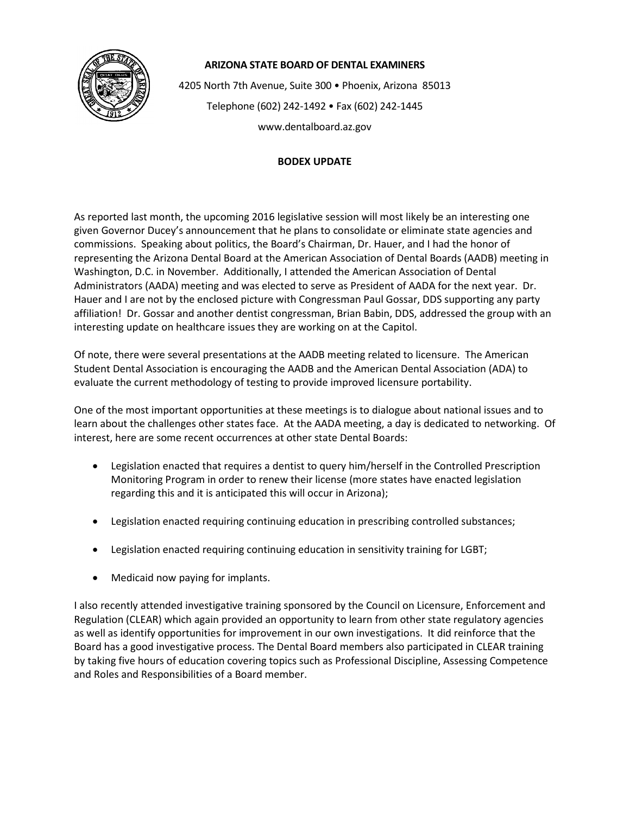

## **ARIZONA STATE BOARD OF DENTAL EXAMINERS**

4205 North 7th Avenue, Suite 300 • Phoenix, Arizona 85013 Telephone (602) 242-1492 • Fax (602) 242-1445 www.dentalboard.az.gov

## **BODEX UPDATE**

As reported last month, the upcoming 2016 legislative session will most likely be an interesting one given Governor Ducey's announcement that he plans to consolidate or eliminate state agencies and commissions. Speaking about politics, the Board's Chairman, Dr. Hauer, and I had the honor of representing the Arizona Dental Board at the American Association of Dental Boards (AADB) meeting in Washington, D.C. in November. Additionally, I attended the American Association of Dental Administrators (AADA) meeting and was elected to serve as President of AADA for the next year. Dr. Hauer and I are not by the enclosed picture with Congressman Paul Gossar, DDS supporting any party affiliation! Dr. Gossar and another dentist congressman, Brian Babin, DDS, addressed the group with an interesting update on healthcare issues they are working on at the Capitol.

Of note, there were several presentations at the AADB meeting related to licensure. The American Student Dental Association is encouraging the AADB and the American Dental Association (ADA) to evaluate the current methodology of testing to provide improved licensure portability.

One of the most important opportunities at these meetings is to dialogue about national issues and to learn about the challenges other states face. At the AADA meeting, a day is dedicated to networking. Of interest, here are some recent occurrences at other state Dental Boards:

- Legislation enacted that requires a dentist to query him/herself in the Controlled Prescription Monitoring Program in order to renew their license (more states have enacted legislation regarding this and it is anticipated this will occur in Arizona);
- Legislation enacted requiring continuing education in prescribing controlled substances;
- Legislation enacted requiring continuing education in sensitivity training for LGBT;
- Medicaid now paying for implants.

I also recently attended investigative training sponsored by the Council on Licensure, Enforcement and Regulation (CLEAR) which again provided an opportunity to learn from other state regulatory agencies as well as identify opportunities for improvement in our own investigations. It did reinforce that the Board has a good investigative process. The Dental Board members also participated in CLEAR training by taking five hours of education covering topics such as Professional Discipline, Assessing Competence and Roles and Responsibilities of a Board member.